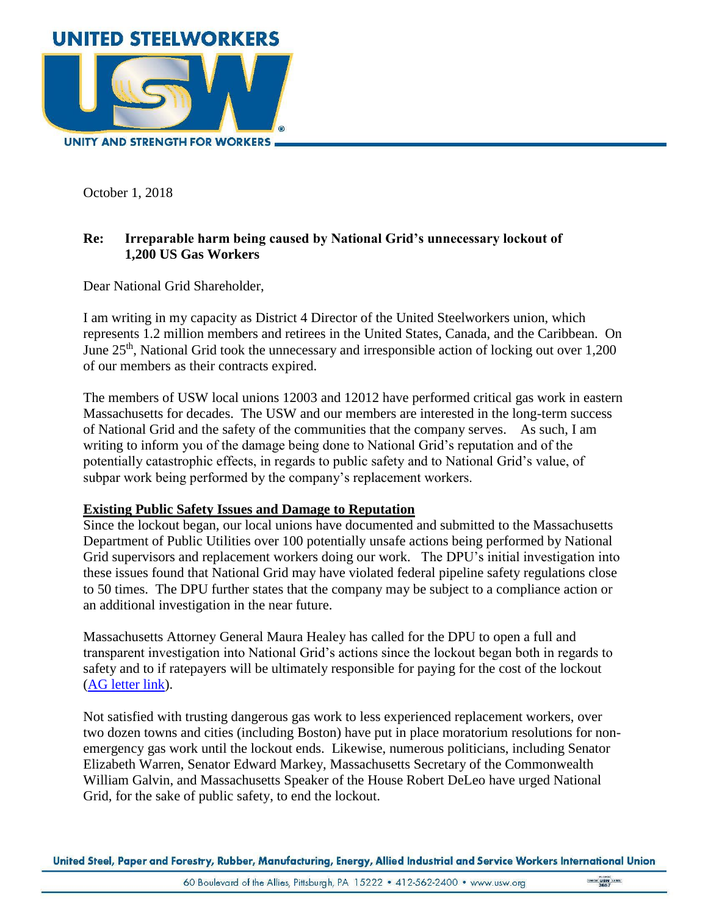

October 1, 2018

## **Re: Irreparable harm being caused by National Grid's unnecessary lockout of 1,200 US Gas Workers**

Dear National Grid Shareholder,

I am writing in my capacity as District 4 Director of the United Steelworkers union, which represents 1.2 million members and retirees in the United States, Canada, and the Caribbean. On June 25<sup>th</sup>, National Grid took the unnecessary and irresponsible action of locking out over 1,200 of our members as their contracts expired.

The members of USW local unions 12003 and 12012 have performed critical gas work in eastern Massachusetts for decades. The USW and our members are interested in the long-term success of National Grid and the safety of the communities that the company serves. As such, I am writing to inform you of the damage being done to National Grid's reputation and of the potentially catastrophic effects, in regards to public safety and to National Grid's value, of subpar work being performed by the company's replacement workers.

## **Existing Public Safety Issues and Damage to Reputation**

Since the lockout began, our local unions have documented and submitted to the Massachusetts Department of Public Utilities over 100 potentially unsafe actions being performed by National Grid supervisors and replacement workers doing our work. The DPU's initial investigation into these issues found that National Grid may have violated federal pipeline safety regulations close to 50 times. The DPU further states that the company may be subject to a compliance action or an additional investigation in the near future.

Massachusetts Attorney General Maura Healey has called for the DPU to open a full and transparent investigation into National Grid's actions since the lockout began both in regards to safety and to if ratepayers will be ultimately responsible for paying for the cost of the lockout [\(AG letter link\)](https://docs.wixstatic.com/ugd/53961c_391232d44ac44ce1983058df59f9b48b.pdf).

Not satisfied with trusting dangerous gas work to less experienced replacement workers, over two dozen towns and cities (including Boston) have put in place moratorium resolutions for nonemergency gas work until the lockout ends. Likewise, numerous politicians, including Senator Elizabeth Warren, Senator Edward Markey, Massachusetts Secretary of the Commonwealth William Galvin, and Massachusetts Speaker of the House Robert DeLeo have urged National Grid, for the sake of public safety, to end the lockout.

United Steel, Paper and Forestry, Rubber, Manufacturing, Energy, Allied Industrial and Service Workers International Union